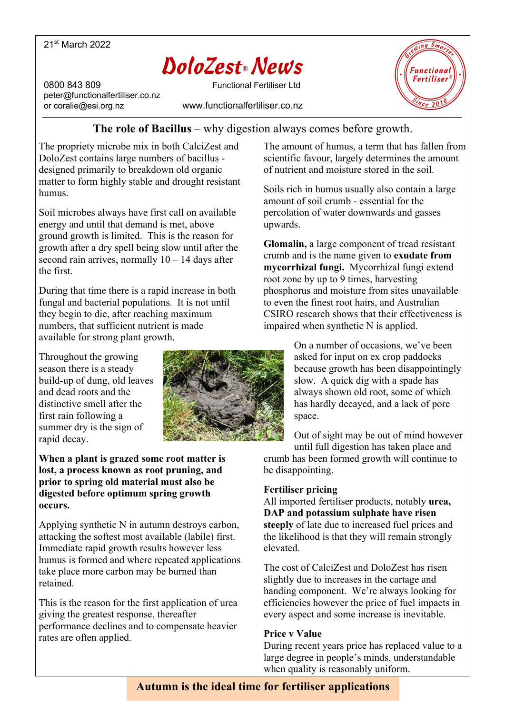## 21st March 2022

# DoloZest**®** News

peter@functionalfertiliser.co.nz

0800 843 809 Functional Fertiliser Ltd or coralie@esi.org.nz www.functionalfertiliser.co.nz



# **The role of Bacillus** – why digestion always comes before growth.

The propriety microbe mix in both CalciZest and DoloZest contains large numbers of bacillus designed primarily to breakdown old organic matter to form highly stable and drought resistant humus.

Soil microbes always have first call on available energy and until that demand is met, above ground growth is limited. This is the reason for growth after a dry spell being slow until after the second rain arrives, normally  $10 - 14$  days after the first.

During that time there is a rapid increase in both fungal and bacterial populations. It is not until they begin to die, after reaching maximum numbers, that sufficient nutrient is made available for strong plant growth.

Throughout the growing season there is a steady build-up of dung, old leaves and dead roots and the distinctive smell after the first rain following a summer dry is the sign of rapid decay.



**When a plant is grazed some root matter is lost, a process known as root pruning, and prior to spring old material must also be digested before optimum spring growth occurs.**

Applying synthetic N in autumn destroys carbon, attacking the softest most available (labile) first. Immediate rapid growth results however less humus is formed and where repeated applications take place more carbon may be burned than retained.

This is the reason for the first application of urea giving the greatest response, thereafter performance declines and to compensate heavier rates are often applied.

The amount of humus, a term that has fallen from scientific favour, largely determines the amount of nutrient and moisture stored in the soil.

Soils rich in humus usually also contain a large amount of soil crumb - essential for the percolation of water downwards and gasses upwards.

**Glomalin,** a large component of tread resistant crumb and is the name given to **exudate from mycorrhizal fungi.** Mycorrhizal fungi extend root zone by up to 9 times, harvesting phosphorus and moisture from sites unavailable to even the finest root hairs, and Australian CSIRO research shows that their effectiveness is impaired when synthetic N is applied.

> On a number of occasions, we've been asked for input on ex crop paddocks because growth has been disappointingly slow. A quick dig with a spade has always shown old root, some of which has hardly decayed, and a lack of pore space.

Out of sight may be out of mind however until full digestion has taken place and crumb has been formed growth will continue to be disappointing.

## **Fertiliser pricing**

All imported fertiliser products, notably **urea, DAP and potassium sulphate have risen steeply** of late due to increased fuel prices and the likelihood is that they will remain strongly elevated.

The cost of CalciZest and DoloZest has risen slightly due to increases in the cartage and handing component. We're always looking for efficiencies however the price of fuel impacts in every aspect and some increase is inevitable.

## **Price v Value**

During recent years price has replaced value to a large degree in people's minds, understandable when quality is reasonably uniform.

# **Autumn is the ideal time for fertiliser applications**